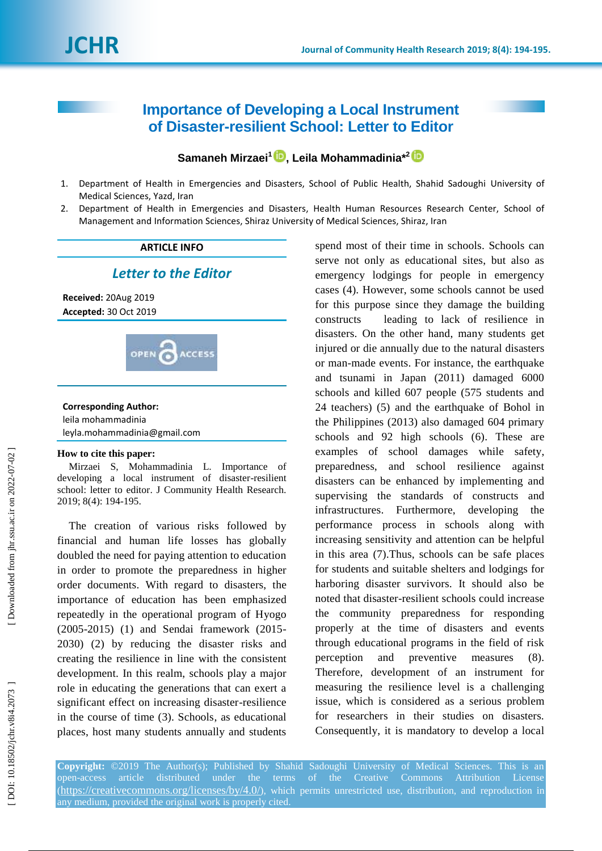# **Importance of Developing a Local Instrument of Disaster -resilient School: Letter to Editor**

## **Samaneh Mirzaei 1 , Leila Mohammadinia \* 2**

- 1 . Department of Health in Emergencies and Disasters, School of Public Health, Shahid Sadoughi University of Medical Sciences, Yazd, Iran
- $2^{\circ}$ . Department of Health in Emergencies and Disasters, Health Human Resources Research Center, School of Management and Information Sciences, Shiraz University of Medical Sciences , Shiraz, Iran

#### **ARTICLE INFO**

#### *Letter to the Editor*

**Received:** 20Aug 2019 **Accepted:** 30 Oct 2019



## **Corresponding Author:** leila mohammadinia

leyla.mohammadinia@gmail.com

#### **How to cite this paper:**

Mirzaei S, Mohammadinia L. Importance of developing a local instrument of disaster -resilient school: letter to editor. J Community Health Research. 2019; 8( 4): 194 -195.

The creation of various risks followed by financial and human life losses has globally doubled the need for paying attention to education in order to promote the preparedness in higher order documents. With regard to disasters, the importance of education has been emphasized repeatedly in the operational program of Hyogo (2005 -2015) (1) and Sendai framework (2015 - 2030) (2) by reducing the disaster risks and creating the resilience in line with the consistent development. In this realm, schools play a major role in educating the generations that can exert a significant effect on increasing disaster -resilience in the course of time (3). Schools , as educational places , host many students annually and students

spend most of their time in schools. Schools can serve not only as educational sites, but also as emergency lodgings for people in emergency cases (4). However, some schools cannot be used for this purpose since they damage the building constructs leading to lack of resilience in disasters. On the other hand, many students get injured or die annually due to the natural disasters or man -made events. For instance, the earthquake and tsunami in Japan (2011) damaged 6000 schools and killed 607 people (575 students and 24 teachers) (5) and the earthquake of Bohol in the Philippines (2013) also damaged 604 primary schools and 92 high schools (6). These are examples of school damages while safety, preparedness, and school resilience against disasters can be enhanced by implementing and supervising the standards of constructs and infrastructures. Furthermore, developing the performance process in schools along with increasing sensitivity and attention can be helpful in this area (7).Thus, schools can be safe places for students and suitable shelters and lodgings for harboring disaster survivors. It should also be noted that disaster -resilient schools could increase the community preparedness for responding properly at the time of disasters and events through educational programs in the field of risk perception and preventive measures (8). Therefore, development of an instrument for measuring the resilience level is a challenging issue, which is considered as a serious problem for researchers in their studies on disasters. Consequently, it is mandatory to develop a local

**Copyright:** ©2019 The Author(s); Published by Shahid Sadoughi University of Medical Sciences. This is an open-access article distributed under the terms of the Creative Commons Attribution License (<https://creativecommons.org/licenses/by/4.0/>), which permits unrestricted use, distribution, and reproduction in any medium, provided the original work is properly cited.